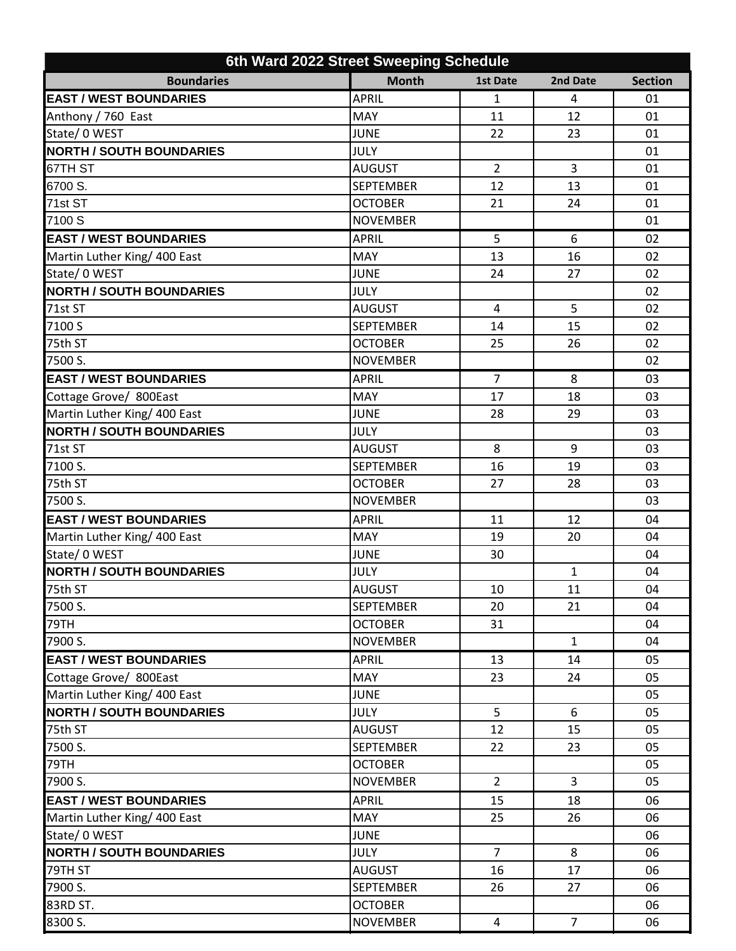| 6th Ward 2022 Street Sweeping Schedule |                  |                 |                |                |  |  |  |
|----------------------------------------|------------------|-----------------|----------------|----------------|--|--|--|
| <b>Boundaries</b>                      | <b>Month</b>     | <b>1st Date</b> | 2nd Date       | <b>Section</b> |  |  |  |
| <b>EAST / WEST BOUNDARIES</b>          | <b>APRIL</b>     | $\mathbf{1}$    | $\overline{4}$ | 01             |  |  |  |
| Anthony / 760 East                     | <b>MAY</b>       | 11              | 12             | 01             |  |  |  |
| State/ 0 WEST                          | <b>JUNE</b>      | 22              | 23             | 01             |  |  |  |
| <b>NORTH / SOUTH BOUNDARIES</b>        | <b>JULY</b>      |                 |                | 01             |  |  |  |
| 67TH ST                                | <b>AUGUST</b>    | $\overline{2}$  | 3              | 01             |  |  |  |
| 6700 S.                                | <b>SEPTEMBER</b> | 12              | 13             | 01             |  |  |  |
| 71st ST                                | <b>OCTOBER</b>   | 21              | 24             | 01             |  |  |  |
| 7100 S                                 | <b>NOVEMBER</b>  |                 |                | 01             |  |  |  |
| <b>EAST / WEST BOUNDARIES</b>          | <b>APRIL</b>     | 5               | 6              | 02             |  |  |  |
| Martin Luther King/ 400 East           | MAY              | 13              | 16             | 02             |  |  |  |
| State/ 0 WEST                          | <b>JUNE</b>      | 24              | 27             | 02             |  |  |  |
| <b>NORTH / SOUTH BOUNDARIES</b>        | <b>JULY</b>      |                 |                | 02             |  |  |  |
| 71st ST                                | <b>AUGUST</b>    | 4               | 5              | 02             |  |  |  |
| 7100 S                                 | <b>SEPTEMBER</b> | 14              | 15             | 02             |  |  |  |
| 75th ST                                | <b>OCTOBER</b>   | 25              | 26             | 02             |  |  |  |
| 7500 S.                                | <b>NOVEMBER</b>  |                 |                | 02             |  |  |  |
| <b>EAST / WEST BOUNDARIES</b>          | <b>APRIL</b>     | $\overline{7}$  | 8              | 03             |  |  |  |
| Cottage Grove/ 800East                 | MAY              | 17              | 18             | 03             |  |  |  |
| Martin Luther King/ 400 East           | <b>JUNE</b>      | 28              | 29             | 03             |  |  |  |
| <b>NORTH / SOUTH BOUNDARIES</b>        | JULY             |                 |                | 03             |  |  |  |
| 71st ST                                | <b>AUGUST</b>    | 8               | 9              | 03             |  |  |  |
| 7100 S.                                | <b>SEPTEMBER</b> | 16              | 19             | 03             |  |  |  |
| 75th ST                                | <b>OCTOBER</b>   | 27              | 28             | 03             |  |  |  |
| 7500 S.                                | <b>NOVEMBER</b>  |                 |                | 03             |  |  |  |
| <b>EAST / WEST BOUNDARIES</b>          | <b>APRIL</b>     | 11              | 12             | 04             |  |  |  |
| Martin Luther King/ 400 East           | MAY              | 19              | 20             | 04             |  |  |  |
| State/ 0 WEST                          | <b>JUNE</b>      | 30              |                | 04             |  |  |  |
| <b>NORTH / SOUTH BOUNDARIES</b>        | <b>JULY</b>      |                 | $\mathbf{1}$   | 04             |  |  |  |
| 75th ST                                | <b>AUGUST</b>    | 10              | 11             | 04             |  |  |  |
| 7500 S.                                | <b>SEPTEMBER</b> | 20              | 21             | 04             |  |  |  |
| 79TH                                   | <b>OCTOBER</b>   | 31              |                | 04             |  |  |  |
| 7900 S.                                | <b>NOVEMBER</b>  |                 | $\mathbf{1}$   | 04             |  |  |  |
| <b>EAST / WEST BOUNDARIES</b>          | <b>APRIL</b>     | 13              | 14             | 05             |  |  |  |
| Cottage Grove/ 800East                 | <b>MAY</b>       | 23              | 24             | 05             |  |  |  |
| Martin Luther King/ 400 East           | <b>JUNE</b>      |                 |                | 05             |  |  |  |
| <b>NORTH / SOUTH BOUNDARIES</b>        | <b>JULY</b>      | 5               | 6              | 05             |  |  |  |
| 75th ST                                | <b>AUGUST</b>    | 12              | 15             | 05             |  |  |  |
| 7500 S.                                | <b>SEPTEMBER</b> | 22              | 23             | 05             |  |  |  |
| 79TH                                   | <b>OCTOBER</b>   |                 |                | 05             |  |  |  |
| 7900 S.                                | <b>NOVEMBER</b>  | $\overline{2}$  | $\overline{3}$ | 05             |  |  |  |
| <b>EAST / WEST BOUNDARIES</b>          | <b>APRIL</b>     | 15              | 18             | 06             |  |  |  |
| Martin Luther King/ 400 East           | <b>MAY</b>       | 25              | 26             | 06             |  |  |  |
| State/ 0 WEST                          | <b>JUNE</b>      |                 |                | 06             |  |  |  |
| <b>NORTH / SOUTH BOUNDARIES</b>        | <b>JULY</b>      | $\overline{7}$  | 8              | 06             |  |  |  |
| 79TH ST                                | <b>AUGUST</b>    | 16              | 17             | 06             |  |  |  |
| 7900 S.                                | <b>SEPTEMBER</b> | 26              | 27             | 06             |  |  |  |
| 83RD ST.                               | <b>OCTOBER</b>   |                 |                | 06             |  |  |  |
| 8300 S.                                | <b>NOVEMBER</b>  | $\overline{4}$  | $\overline{7}$ | 06             |  |  |  |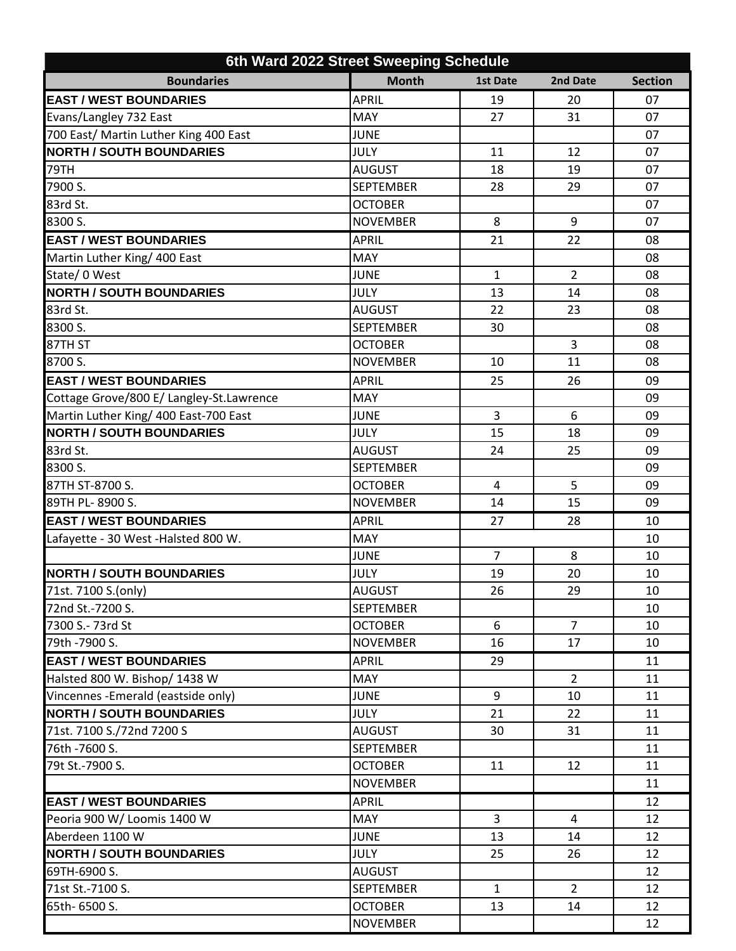| 6th Ward 2022 Street Sweeping Schedule   |                  |                 |                |                |  |  |  |  |
|------------------------------------------|------------------|-----------------|----------------|----------------|--|--|--|--|
| <b>Boundaries</b>                        | <b>Month</b>     | <b>1st Date</b> | 2nd Date       | <b>Section</b> |  |  |  |  |
| <b>EAST / WEST BOUNDARIES</b>            | <b>APRIL</b>     | 19              | 20             | 07             |  |  |  |  |
| Evans/Langley 732 East                   | MAY              | 27              | 31             | 07             |  |  |  |  |
| 700 East/ Martin Luther King 400 East    | <b>JUNE</b>      |                 |                | 07             |  |  |  |  |
| <b>NORTH / SOUTH BOUNDARIES</b>          | JULY             | 11              | 12             | 07             |  |  |  |  |
| 79TH                                     | <b>AUGUST</b>    | 18              | 19             | 07             |  |  |  |  |
| 7900 S.                                  | <b>SEPTEMBER</b> | 28              | 29             | 07             |  |  |  |  |
| 83rd St.                                 | <b>OCTOBER</b>   |                 |                | 07             |  |  |  |  |
| 8300 S.                                  | <b>NOVEMBER</b>  | 8               | 9              | 07             |  |  |  |  |
| <b>EAST / WEST BOUNDARIES</b>            | <b>APRIL</b>     | 21              | 22             | 08             |  |  |  |  |
| Martin Luther King/ 400 East             | MAY              |                 |                | 08             |  |  |  |  |
| State/ 0 West                            | <b>JUNE</b>      | $\mathbf{1}$    | $\overline{2}$ | 08             |  |  |  |  |
| <b>NORTH / SOUTH BOUNDARIES</b>          | JULY             | 13              | 14             | 08             |  |  |  |  |
| 83rd St.                                 | <b>AUGUST</b>    | 22              | 23             | 08             |  |  |  |  |
| 8300 S.                                  | <b>SEPTEMBER</b> | 30              |                | 08             |  |  |  |  |
| 87TH ST                                  | <b>OCTOBER</b>   |                 | 3              | 08             |  |  |  |  |
| 8700 S.                                  | <b>NOVEMBER</b>  | 10              | 11             | 08             |  |  |  |  |
| <b>EAST / WEST BOUNDARIES</b>            | <b>APRIL</b>     | 25              | 26             | 09             |  |  |  |  |
| Cottage Grove/800 E/ Langley-St.Lawrence | MAY              |                 |                | 09             |  |  |  |  |
| Martin Luther King/ 400 East-700 East    | <b>JUNE</b>      | 3               | 6              | 09             |  |  |  |  |
| <b>NORTH / SOUTH BOUNDARIES</b>          | <b>JULY</b>      | 15              | 18             | 09             |  |  |  |  |
| 83rd St.                                 | <b>AUGUST</b>    | 24              | 25             | 09             |  |  |  |  |
| 8300 S.                                  | <b>SEPTEMBER</b> |                 |                | 09             |  |  |  |  |
| 87TH ST-8700 S.                          | <b>OCTOBER</b>   | 4               | 5              | 09             |  |  |  |  |
| 89TH PL-8900 S.                          | <b>NOVEMBER</b>  | 14              | 15             | 09             |  |  |  |  |
| <b>EAST / WEST BOUNDARIES</b>            | <b>APRIL</b>     | 27              | 28             | 10             |  |  |  |  |
| Lafayette - 30 West - Halsted 800 W.     | MAY              |                 |                | 10             |  |  |  |  |
|                                          | <b>JUNE</b>      | 7               | 8              | 10             |  |  |  |  |
| <b>NORTH / SOUTH BOUNDARIES</b>          | <b>JULY</b>      | 19              | 20             | 10             |  |  |  |  |
| 71st. 7100 S.(only)                      | <b>AUGUST</b>    | 26              | 29             | 10             |  |  |  |  |
| 72nd St.-7200 S.                         | <b>SEPTEMBER</b> |                 |                | 10             |  |  |  |  |
| 7300 S.- 73rd St                         | <b>OCTOBER</b>   | 6               | $\overline{7}$ | 10             |  |  |  |  |
| 79th -7900 S.                            | <b>NOVEMBER</b>  | 16              | 17             | 10             |  |  |  |  |
| <b>EAST / WEST BOUNDARIES</b>            | <b>APRIL</b>     | 29              |                | 11             |  |  |  |  |
| Halsted 800 W. Bishop/ 1438 W            | MAY              |                 | $\overline{2}$ | 11             |  |  |  |  |
| Vincennes - Emerald (eastside only)      | <b>JUNE</b>      | 9               | 10             | 11             |  |  |  |  |
| <b>NORTH / SOUTH BOUNDARIES</b>          | <b>JULY</b>      | 21              | 22             | 11             |  |  |  |  |
| 71st. 7100 S./72nd 7200 S                | <b>AUGUST</b>    | 30              | 31             | 11             |  |  |  |  |
| 76th -7600 S.                            | <b>SEPTEMBER</b> |                 |                | 11             |  |  |  |  |
| 79t St.-7900 S.                          | <b>OCTOBER</b>   | 11              | 12             | 11             |  |  |  |  |
|                                          | <b>NOVEMBER</b>  |                 |                | 11             |  |  |  |  |
| <b>EAST / WEST BOUNDARIES</b>            | <b>APRIL</b>     |                 |                | 12             |  |  |  |  |
| Peoria 900 W/ Loomis 1400 W              | MAY              | 3               | 4              | 12             |  |  |  |  |
| Aberdeen 1100 W                          | JUNE             | 13              | 14             | 12             |  |  |  |  |
| <b>NORTH / SOUTH BOUNDARIES</b>          | <b>JULY</b>      | 25              | 26             | 12             |  |  |  |  |
| 69TH-6900 S.                             | <b>AUGUST</b>    |                 |                | 12             |  |  |  |  |
| 71st St.-7100 S.                         | <b>SEPTEMBER</b> | $\mathbf{1}$    | $\overline{2}$ | 12             |  |  |  |  |
| 65th-6500 S.                             | <b>OCTOBER</b>   | 13              | 14             | 12             |  |  |  |  |
|                                          | <b>NOVEMBER</b>  |                 |                | 12             |  |  |  |  |